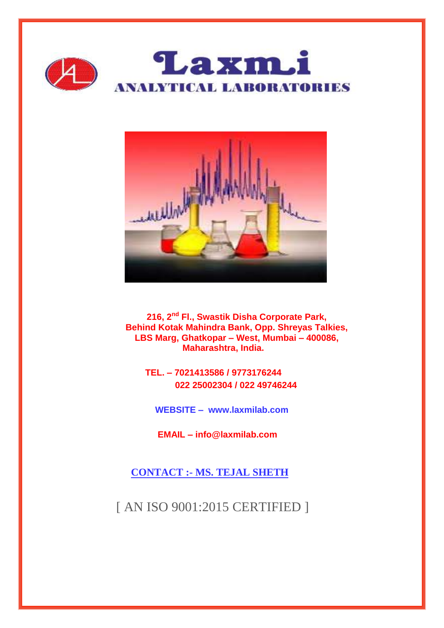



**216, 2nd Fl., Swastik Disha Corporate Park, Behind Kotak Mahindra Bank, Opp. Shreyas Talkies, LBS Marg, Ghatkopar – West, Mumbai – 400086, Maharashtra, India.**

 **TEL. – 7021413586 / 9773176244 022 25002304 / 022 49746244**

 **WEBSITE – www.laxmilab.com**

 **EMAIL – info@laxmilab.com**

 **CONTACT :- MS. TEJAL SHETH**

[ AN ISO 9001:2015 CERTIFIED ]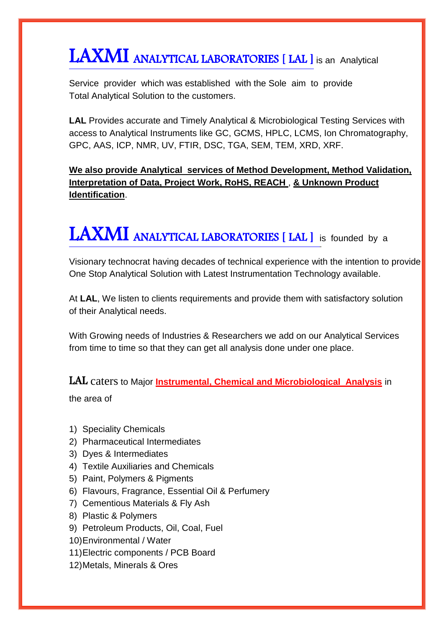# LAXMI ANALYTICAL LABORATORIES [ LAL ] is an Analytical

Service provider which was established with the Sole aim to provide Total Analytical Solution to the customers.

**LAL** Provides accurate and Timely Analytical & Microbiological Testing Services with access to Analytical Instruments like GC, GCMS, HPLC, LCMS, Ion Chromatography, GPC, AAS, ICP, NMR, UV, FTIR, DSC, TGA, SEM, TEM, XRD, XRF.

**We also provide Analytical services of Method Development, Method Validation, Interpretation of Data, Project Work, RoHS, REACH** , **& Unknown Product Identification**.

# LAXMI ANALYTICAL LABORATORIES [ LAL ] is founded by a

Visionary technocrat having decades of technical experience with the intention to provide One Stop Analytical Solution with Latest Instrumentation Technology available.

At **LAL**, We listen to clients requirements and provide them with satisfactory solution of their Analytical needs.

With Growing needs of Industries & Researchers we add on our Analytical Services from time to time so that they can get all analysis done under one place.

LAL caters to Major **Instrumental, Chemical and Microbiological Analysis** in

the area of

- 1) Speciality Chemicals
- 2) Pharmaceutical Intermediates
- 3) Dyes & Intermediates
- 4) Textile Auxiliaries and Chemicals
- 5) Paint, Polymers & Pigments
- 6) Flavours, Fragrance, Essential Oil & Perfumery
- 7) Cementious Materials & Fly Ash
- 8) Plastic & Polymers
- 9) Petroleum Products, Oil, Coal, Fuel
- 10)Environmental / Water
- 11)Electric components / PCB Board
- 12)Metals, Minerals & Ores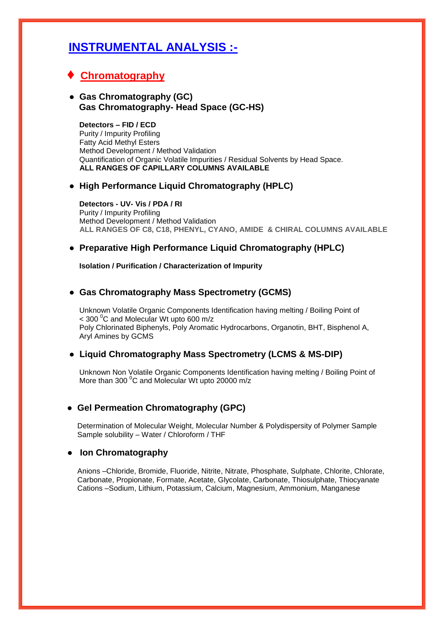## **INSTRUMENTAL ANALYSIS :-**

### **♦ Chromatography**

#### **● Gas Chromatography (GC) Gas Chromatography- Head Space (GC-HS)**

 **Detectors – FID / ECD** Purity / Impurity Profiling Fatty Acid Methyl Esters Method Development / Method Validation Quantification of Organic Volatile Impurities / Residual Solvents by Head Space. **ALL RANGES OF CAPILLARY COLUMNS AVAILABLE**

#### **● High Performance Liquid Chromatography (HPLC)**

 **Detectors - UV- Vis / PDA / RI** Purity / Impurity Profiling Method Development / Method Validation  **ALL RANGES OF C8, C18, PHENYL, CYANO, AMIDE & CHIRAL COLUMNS AVAILABLE**

#### **● Preparative High Performance Liquid Chromatography (HPLC)**

 **Isolation / Purification / Characterization of Impurity**

#### **● Gas Chromatography Mass Spectrometry (GCMS)**

 Unknown Volatile Organic Components Identification having melting / Boiling Point of  $<$  300 °C and Molecular Wt upto 600 m/z Poly Chlorinated Biphenyls, Poly Aromatic Hydrocarbons, Organotin, BHT, Bisphenol A, Aryl Amines by GCMS

#### **● Liquid Chromatography Mass Spectrometry (LCMS & MS-DIP)**

 Unknown Non Volatile Organic Components Identification having melting / Boiling Point of More than 300 $\mathrm{^{0}C}$  and Molecular Wt upto 20000 m/z

#### **● Gel Permeation Chromatography (GPC)**

 Determination of Molecular Weight, Molecular Number & Polydispersity of Polymer Sample Sample solubility – Water / Chloroform / THF

#### **● Ion Chromatography**

 Anions –Chloride, Bromide, Fluoride, Nitrite, Nitrate, Phosphate, Sulphate, Chlorite, Chlorate, Carbonate, Propionate, Formate, Acetate, Glycolate, Carbonate, Thiosulphate, Thiocyanate Cations –Sodium, Lithium, Potassium, Calcium, Magnesium, Ammonium, Manganese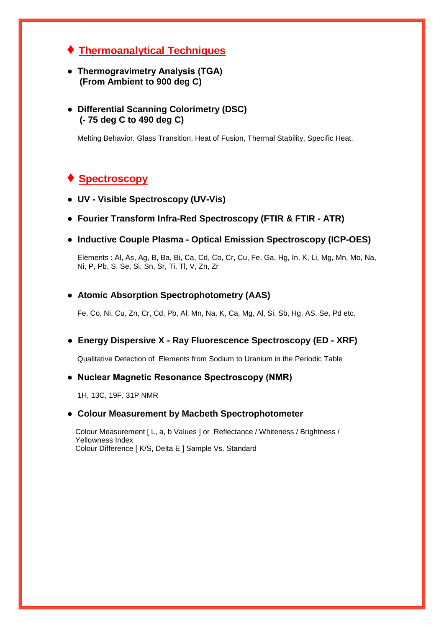- **♦ Thermoanalytical Techniques**
- **Thermogravimetry Analysis (TGA) (From Ambient to 900 deg C)**
- **● Differential Scanning Colorimetry (DSC) (- 75 deg C to 490 deg C)**

Melting Behavior, Glass Transition, Heat of Fusion, Thermal Stability, Specific Heat.

### **Spectroscopy**

- **UV - Visible Spectroscopy (UV-Vis)**
- **● Fourier Transform Infra-Red Spectroscopy (FTIR & FTIR - ATR)**
- **Inductive Couple Plasma - Optical Emission Spectroscopy (ICP-OES)**

 Elements : Al, As, Ag, B, Ba, Bi, Ca, Cd, Co, Cr, Cu, Fe, Ga, Hg, In, K, Li, Mg, Mn, Mo, Na, Ni, P, Pb, S, Se, Si, Sn, Sr, Ti, Tl, V, Zn, Zr

#### **● Atomic Absorption Spectrophotometry (AAS)**

Fe, Co, Ni, Cu, Zn, Cr, Cd, Pb, Al, Mn, Na, K, Ca, Mg, Al, Si, Sb, Hg, AS, Se, Pd etc.

 **● Energy Dispersive X - Ray Fluorescence Spectroscopy (ED - XRF)**

Qualitative Detection of Elements from Sodium to Uranium in the Periodic Table

#### **● Nuclear Magnetic Resonance Spectroscopy (NMR)**

1H, 13C, 19F, 31P NMR

#### **● Colour Measurement by Macbeth Spectrophotometer**

 Colour Measurement [ L, a, b Values ] or Reflectance / Whiteness / Brightness / Yellowness Index Colour Difference [ K/S, Delta E ] Sample Vs. Standard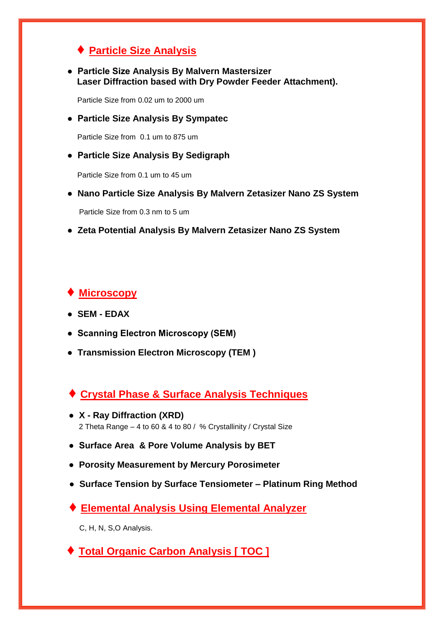### **♦ Particle Size Analysis**

 **● Particle Size Analysis By Malvern Mastersizer Laser Diffraction based with Dry Powder Feeder Attachment).**

Particle Size from 0.02 um to 2000 um

 **● Particle Size Analysis By Sympatec**

Particle Size from 0.1 um to 875 um

#### **● Particle Size Analysis By Sedigraph**

Particle Size from 0.1 um to 45 um

 **● Nano Particle Size Analysis By Malvern Zetasizer Nano ZS System**

Particle Size from 0.3 nm to 5 um

 **● Zeta Potential Analysis By Malvern Zetasizer Nano ZS System**

### **♦ Microscopy**

- **SEM - EDAX**
- **Scanning Electron Microscopy (SEM)**
- **Transmission Electron Microscopy (TEM )**
- **♦ Crystal Phase & Surface Analysis Techniques**
- **X - Ray Diffraction (XRD)** 2 Theta Range – 4 to 60 & 4 to 80 / % Crystallinity / Crystal Size
- **Surface Area & Pore Volume Analysis by BET**
- **Porosity Measurement by Mercury Porosimeter**
- **Surface Tension by Surface Tensiometer – Platinum Ring Method**
- **♦ Elemental Analysis Using Elemental Analyzer**

C, H, N, S,O Analysis.

 **♦ Total Organic Carbon Analysis [ TOC ]**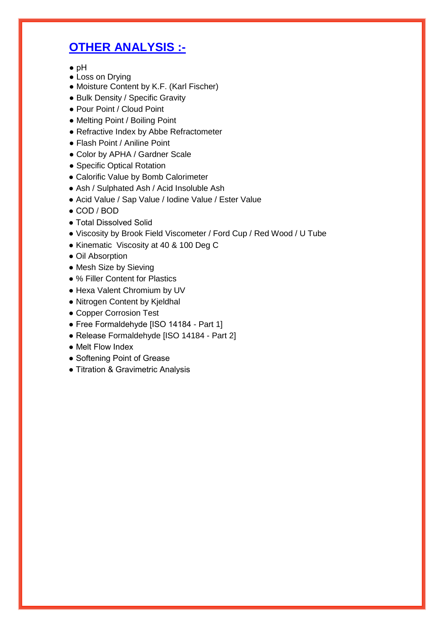# **OTHER ANALYSIS :-**

- pH
- Loss on Drying
- Moisture Content by K.F. (Karl Fischer)
- Bulk Density / Specific Gravity
- Pour Point / Cloud Point
- Melting Point / Boiling Point
- Refractive Index by Abbe Refractometer
- Flash Point / Aniline Point
- Color by APHA / Gardner Scale
- Specific Optical Rotation
- Calorific Value by Bomb Calorimeter
- Ash / Sulphated Ash / Acid Insoluble Ash
- Acid Value / Sap Value / Iodine Value / Ester Value
- COD / BOD
- Total Dissolved Solid
- Viscosity by Brook Field Viscometer / Ford Cup / Red Wood / U Tube
- Kinematic Viscosity at 40 & 100 Deg C
- Oil Absorption
- Mesh Size by Sieving
- % Filler Content for Plastics
- Hexa Valent Chromium by UV
- Nitrogen Content by Kjeldhal
- Copper Corrosion Test
- Free Formaldehyde [ISO 14184 Part 1]
- Release Formaldehyde [ISO 14184 Part 2]
- Melt Flow Index
- Softening Point of Grease
- Titration & Gravimetric Analysis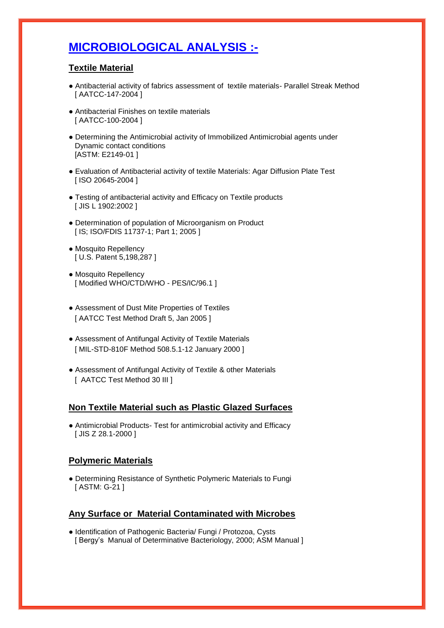# **MICROBIOLOGICAL ANALYSIS :-**

#### **Textile Material**

- Antibacterial activity of fabrics assessment of textile materials- Parallel Streak Method [ AATCC-147-2004 ]
- Antibacterial Finishes on textile materials [ AATCC-100-2004 ]
- Determining the Antimicrobial activity of Immobilized Antimicrobial agents under Dynamic contact conditions [ASTM: E2149-01 ]
- Evaluation of Antibacterial activity of textile Materials: Agar Diffusion Plate Test [ ISO 20645-2004 ]
- Testing of antibacterial activity and Efficacy on Textile products [ JIS L 1902:2002 ]
- Determination of population of Microorganism on Product [ IS; ISO/FDIS 11737-1; Part 1; 2005 ]
- Mosquito Repellency [ U.S. Patent 5,198,287 ]
- Mosquito Repellency [ Modified WHO/CTD/WHO - PES/IC/96.1 ]
- Assessment of Dust Mite Properties of Textiles [ AATCC Test Method Draft 5, Jan 2005 ]
- Assessment of Antifungal Activity of Textile Materials [ MIL-STD-810F Method 508.5.1-12 January 2000 ]
- Assessment of Antifungal Activity of Textile & other Materials [ AATCC Test Method 30 III ]

#### **Non Textile Material such as Plastic Glazed Surfaces**

● Antimicrobial Products- Test for antimicrobial activity and Efficacy [ JIS Z 28.1-2000 ]

#### **Polymeric Materials**

● Determining Resistance of Synthetic Polymeric Materials to Fungi [ ASTM: G-21 ]

#### **Any Surface or Material Contaminated with Microbes**

● Identification of Pathogenic Bacteria/ Fungi / Protozoa, Cysts [ Bergy's Manual of Determinative Bacteriology, 2000; ASM Manual ]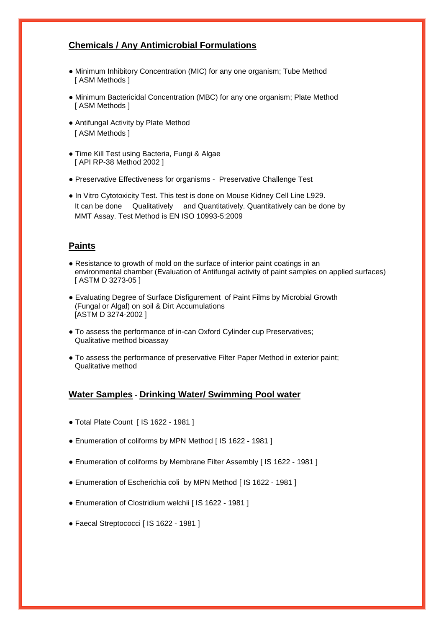#### **Chemicals / Any Antimicrobial Formulations**

- Minimum Inhibitory Concentration (MIC) for any one organism; Tube Method [ ASM Methods ]
- Minimum Bactericidal Concentration (MBC) for any one organism; Plate Method [ ASM Methods ]
- Antifungal Activity by Plate Method [ ASM Methods ]
- Time Kill Test using Bacteria, Fungi & Algae [ API RP-38 Method 2002 ]
- Preservative Effectiveness for organisms Preservative Challenge Test
- In Vitro Cytotoxicity Test. This test is done on Mouse Kidney Cell Line L929. It can be done Qualitatively and Quantitatively. Quantitatively can be done by MMT Assay. Test Method is EN ISO 10993-5:2009

#### **Paints**

- Resistance to growth of mold on the surface of interior paint coatings in an environmental chamber (Evaluation of Antifungal activity of paint samples on applied surfaces) [ ASTM D 3273-05 ]
- Evaluating Degree of Surface Disfigurement of Paint Films by Microbial Growth (Fungal or Algal) on soil & Dirt Accumulations [ASTM D 3274-2002 ]
- To assess the performance of in-can Oxford Cylinder cup Preservatives; Qualitative method bioassay
- To assess the performance of preservative Filter Paper Method in exterior paint; Qualitative method

#### **Water Samples** - **Drinking Water/ Swimming Pool water**

- Total Plate Count [ IS 1622 1981 ]
- Enumeration of coliforms by MPN Method [ IS 1622 1981 ]
- Enumeration of coliforms by Membrane Filter Assembly [ IS 1622 1981 ]
- Enumeration of Escherichia coli by MPN Method [ IS 1622 1981 ]
- Enumeration of Clostridium welchii [ IS 1622 1981 ]
- Faecal Streptococci [ IS 1622 1981 ]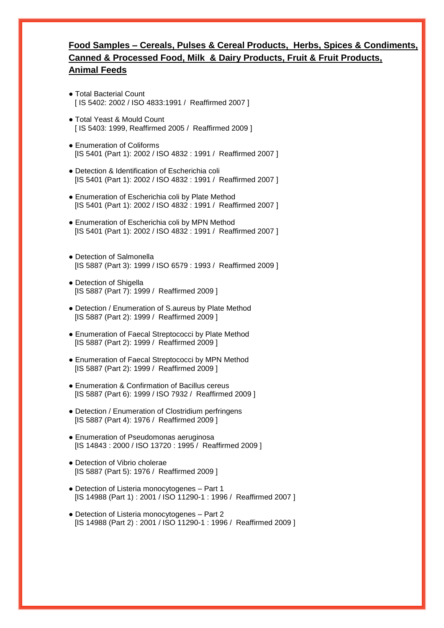### **Food Samples – Cereals, Pulses & Cereal Products, Herbs, Spices & Condiments, Canned & Processed Food, Milk & Dairy Products, Fruit & Fruit Products, Animal Feeds**

- Total Bacterial Count [ IS 5402: 2002 / ISO 4833:1991 / Reaffirmed 2007 ]
- Total Yeast & Mould Count [ IS 5403: 1999, Reaffirmed 2005 / Reaffirmed 2009 ]
- Enumeration of Coliforms [IS 5401 (Part 1): 2002 / ISO 4832 : 1991 / Reaffirmed 2007 ]
- Detection & Identification of Escherichia coli [IS 5401 (Part 1): 2002 / ISO 4832 : 1991 / Reaffirmed 2007 ]
- Enumeration of Escherichia coli by Plate Method [IS 5401 (Part 1): 2002 / ISO 4832 : 1991 / Reaffirmed 2007 ]
- Enumeration of Escherichia coli by MPN Method [IS 5401 (Part 1): 2002 / ISO 4832 : 1991 / Reaffirmed 2007 ]
- Detection of Salmonella [IS 5887 (Part 3): 1999 / ISO 6579 : 1993 / Reaffirmed 2009 ]
- Detection of Shigella [IS 5887 (Part 7): 1999 / Reaffirmed 2009 ]
- Detection / Enumeration of S.aureus by Plate Method [IS 5887 (Part 2): 1999 / Reaffirmed 2009 ]
- Enumeration of Faecal Streptococci by Plate Method [IS 5887 (Part 2): 1999 / Reaffirmed 2009 ]
- Enumeration of Faecal Streptococci by MPN Method [IS 5887 (Part 2): 1999 / Reaffirmed 2009 ]
- Enumeration & Confirmation of Bacillus cereus [IS 5887 (Part 6): 1999 / ISO 7932 / Reaffirmed 2009 ]
- Detection / Enumeration of Clostridium perfringens [IS 5887 (Part 4): 1976 / Reaffirmed 2009 ]
- Enumeration of Pseudomonas aeruginosa [IS 14843 : 2000 / ISO 13720 : 1995 / Reaffirmed 2009 ]
- Detection of Vibrio cholerae [IS 5887 (Part 5): 1976 / Reaffirmed 2009 ]
- Detection of Listeria monocytogenes Part 1 [IS 14988 (Part 1): 2001 / ISO 11290-1: 1996 / Reaffirmed 2007 ]
- Detection of Listeria monocytogenes Part 2 [IS 14988 (Part 2) : 2001 / ISO 11290-1 : 1996 / Reaffirmed 2009 ]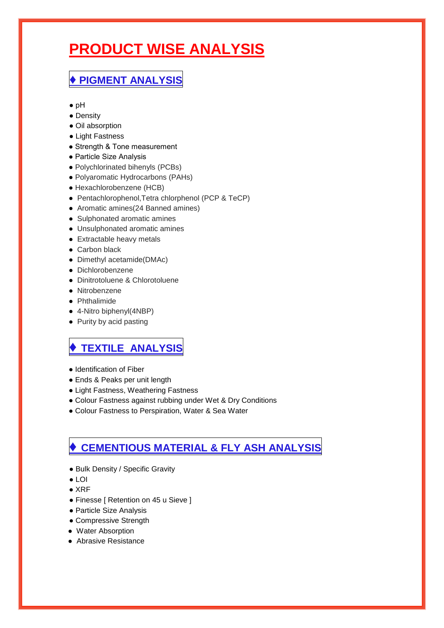# **PRODUCT WISE ANALYSIS**

# **♦ PIGMENT ANALYSIS**

- pH
- Density
- Oil absorption
- Light Fastness
- Strength & Tone measurement
- Particle Size Analysis
- Polychlorinated bihenyls (PCBs)
- Polyaromatic Hydrocarbons (PAHs)
- Hexachlorobenzene (HCB)
- Pentachlorophenol,Tetra chlorphenol (PCP & TeCP)
- Aromatic amines(24 Banned amines)
- Sulphonated aromatic amines
- Unsulphonated aromatic amines
- Extractable heavy metals
- Carbon black
- Dimethyl acetamide(DMAc)
- Dichlorobenzene
- Dinitrotoluene & Chlorotoluene
- Nitrobenzene
- Phthalimide
- 4-Nitro biphenyl(4NBP)
- Purity by acid pasting

## **♦ TEXTILE ANALYSIS**

- Identification of Fiber
- Ends & Peaks per unit length
- Light Fastness, Weathering Fastness
- Colour Fastness against rubbing under Wet & Dry Conditions
- Colour Fastness to Perspiration, Water & Sea Water

# **♦ CEMENTIOUS MATERIAL & FLY ASH ANALYSIS**

- Bulk Density / Specific Gravity
- LOI
- XRF
- Finesse [ Retention on 45 u Sieve ]
- Particle Size Analysis
- Compressive Strength
- Water Absorption
- Abrasive Resistance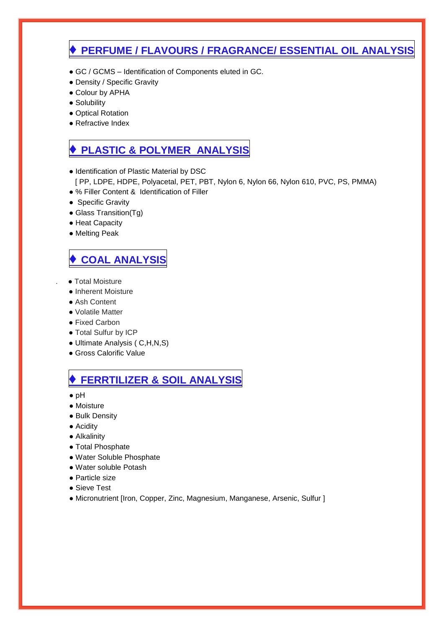### **♦ PERFUME / FLAVOURS / FRAGRANCE/ ESSENTIAL OIL ANALYSIS**

- GC / GCMS Identification of Components eluted in GC.
- Density / Specific Gravity
- Colour by APHA
- Solubility
- Optical Rotation
- Refractive Index

### **♦ PLASTIC & POLYMER ANALYSIS**

- Identification of Plastic Material by DSC
	- [ PP, LDPE, HDPE, Polyacetal, PET, PBT, Nylon 6, Nylon 66, Nylon 610, PVC, PS, PMMA)
- % Filler Content & Identification of Filler
- Specific Gravity
- Glass Transition(Tg)
- Heat Capacity
- Melting Peak

# **♦ COAL ANALYSIS**

- . Total Moisture
- Inherent Moisture
- Ash Content
- Volatile Matter
- Fixed Carbon
- Total Sulfur by ICP
- Ultimate Analysis ( C,H,N,S)
- Gross Calorific Value

### **♦ FERRTILIZER & SOIL ANALYSIS**

- pH
- Moisture
- **Bulk Density**
- Acidity
- Alkalinity
- Total Phosphate
- Water Soluble Phosphate
- Water soluble Potash
- Particle size
- Sieve Test
- Micronutrient [Iron, Copper, Zinc, Magnesium, Manganese, Arsenic, Sulfur ]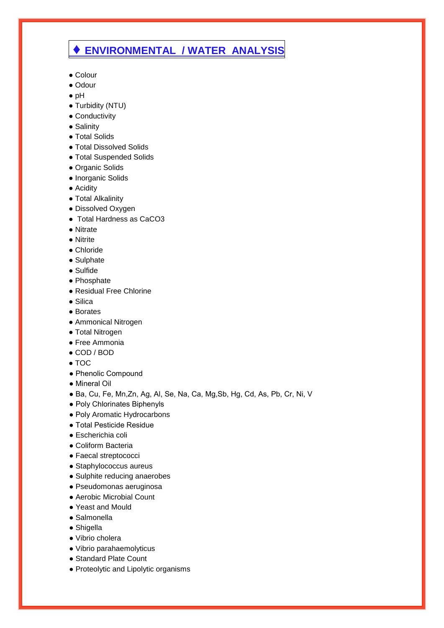### **♦ ENVIRONMENTAL / WATER ANALYSIS**

- Colour
- Odour
- pH
- Turbidity (NTU)
- Conductivity
- Salinity
- Total Solids
- Total Dissolved Solids
- Total Suspended Solids
- Organic Solids
- Inorganic Solids
- Acidity
- Total Alkalinity
- Dissolved Oxygen
- Total Hardness as CaCO3
- Nitrate
- Nitrite
- Chloride
- Sulphate
- Sulfide
- Phosphate
- Residual Free Chlorine
- Silica
- Borates
- Ammonical Nitrogen
- Total Nitrogen
- Free Ammonia
- COD / BOD
- $\bullet$  TOC
- Phenolic Compound
- Mineral Oil
- Ba, Cu, Fe, Mn,Zn, Ag, Al, Se, Na, Ca, Mg,Sb, Hg, Cd, As, Pb, Cr, Ni, V
- Poly Chlorinates Biphenyls
- Poly Aromatic Hydrocarbons
- Total Pesticide Residue
- Escherichia coli
- Coliform Bacteria
- Faecal streptococci
- Staphylococcus aureus
- Sulphite reducing anaerobes
- Pseudomonas aeruginosa
- Aerobic Microbial Count
- Yeast and Mould
- Salmonella
- Shigella
- Vibrio cholera
- Vibrio parahaemolyticus
- Standard Plate Count
- Proteolytic and Lipolytic organisms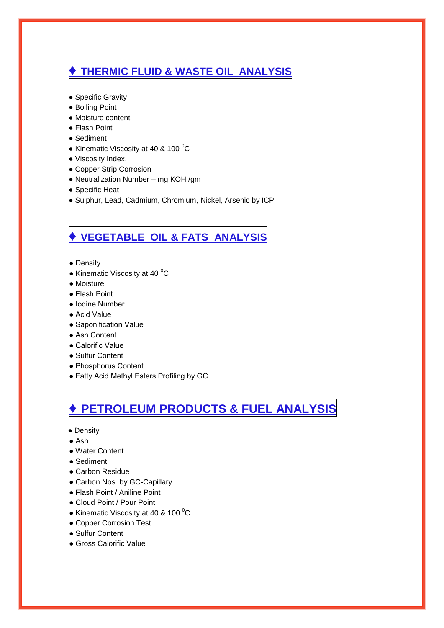# **♦ THERMIC FLUID & WASTE OIL ANALYSIS**

- Specific Gravity
- Boiling Point
- Moisture content
- Flash Point
- Sediment
- Kinematic Viscosity at 40 & 100 $\mathrm{^0C}$
- Viscosity Index.
- Copper Strip Corrosion
- Neutralization Number mg KOH /gm
- Specific Heat
- Sulphur, Lead, Cadmium, Chromium, Nickel, Arsenic by ICP

# **♦ VEGETABLE OIL & FATS ANALYSIS**

- Density
- Kinematic Viscosity at 40 $\mathrm{^0C}$
- Moisture
- Flash Point
- Iodine Number
- Acid Value
- Saponification Value
- Ash Content
- Calorific Value
- Sulfur Content
- Phosphorus Content
- Fatty Acid Methyl Esters Profiling by GC

# **♦ PETROLEUM PRODUCTS & FUEL ANALYSIS**

- Density
- Ash
- Water Content
- Sediment
- Carbon Residue
- Carbon Nos. by GC-Capillary
- Flash Point / Aniline Point
- Cloud Point / Pour Point
- Kinematic Viscosity at 40 & 100 $\mathrm{^0C}$
- Copper Corrosion Test
- Sulfur Content
- Gross Calorific Value